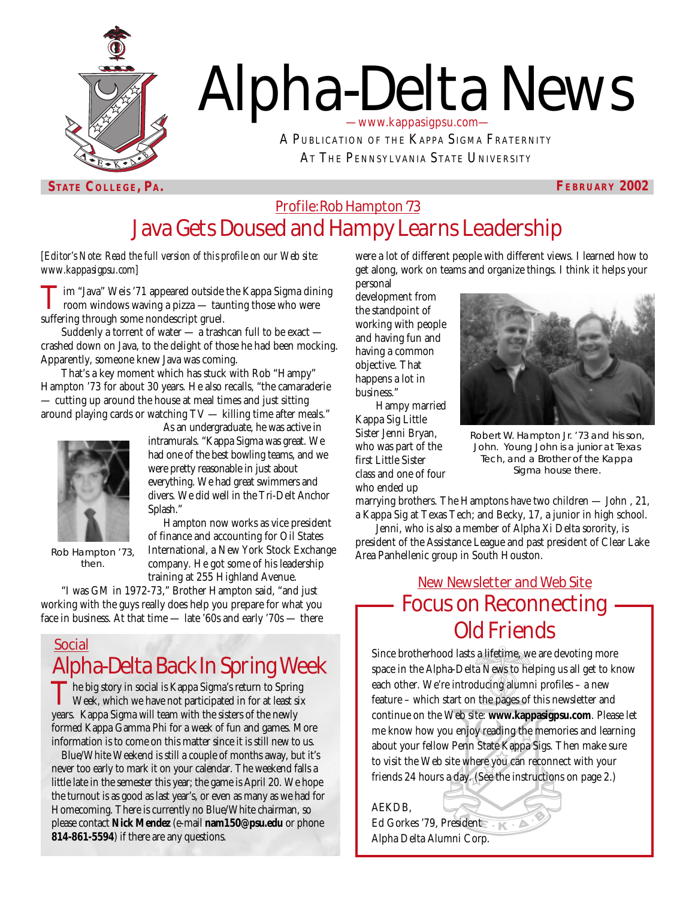

# Alpha-Delta News —www.kappasigpsu.com—

A PUBLICATION OF THE KAPPA SIGMA FRATERNITY AT THE PENNSYLVANIA STATE UNIVERSITY

**STATE COLLEGE, PA. FEBRUARY 2002** 

## Profile: Rob Hampton '73 Java Gets Doused and Hampy Learns Leadership

*[Editor's Note: Read the full version of this profile on our Web site: www.kappasigpsu.com]*

**T**im "Java" Weis '71 appeared outside the Kappa Sigma dining<br>room windows waving a pizza — taunting those who were suffering through some nondescript gruel.

Suddenly a torrent of water — a trashcan full to be exact crashed down on Java, to the delight of those he had been mocking. Apparently, someone knew Java was coming.

That's a key moment which has stuck with Rob "Hampy" Hampton '73 for about 30 years. He also recalls, "the camaraderie — cutting up around the house at meal times and just sitting around playing cards or watching TV — killing time after meals."



then.

As an undergraduate, he was active in intramurals. "Kappa Sigma was great. We had one of the best bowling teams, and we were pretty reasonable in just about everything. We had great swimmers and divers. We did well in the Tri-Delt Anchor Splash."

Hampton now works as vice president of finance and accounting for Oil States International, a New York Stock Exchange company. He got some of his leadership training at 255 Highland Avenue. Rob Hampton '73, International, a New York Stock Exchange Area Panhellenic group in South Houston.

"I was GM in 1972-73," Brother Hampton said, "and just working with the guys really does help you prepare for what you face in business. At that time — late '60s and early '70s — there

### Social Alpha-Delta Back In Spring Week

The big story in social is Kappa Sigma's return to Spring<br>Week, which we have not participated in for at least six<br>Weren Sigma will term with the sixteen of the works years. Kappa Sigma will team with the sisters of the newly formed Kappa Gamma Phi for a week of fun and games. More information is to come on this matter since it is still new to us.

Blue/White Weekend is still a couple of months away, but it's never too early to mark it on your calendar. The weekend falls a little late in the semester this year; the game is April 20. We hope the turnout is as good as last year's, or even as many as we had for Homecoming. There is currently no Blue/White chairman, so please contact **Nick Mendez** (e-mail **nam150@psu.edu** or phone **814-861-5594**) if there are any questions.

were a lot of different people with different views. I learned how to get along, work on teams and organize things. I think it helps your personal

development from the standpoint of working with people and having fun and having a common objective. That happens a lot in business."

Hampy married Kappa Sig Little Sister Jenni Bryan, who was part of the first Little Sister class and one of four

who ended up



Robert W. Hampton Jr. '73 and his son, John. Young John is a junior at Texas Tech, and a Brother of the Kappa Sigma house there.

marrying brothers. The Hamptons have two children — John , 21, a Kappa Sig at Texas Tech; and Becky, 17, a junior in high school.

Jenni, who is also a member of Alpha Xi Delta sorority, is president of the Assistance League and past president of Clear Lake

# New Newsletter and Web Site Focus on Reconnecting Old Friends

Since brotherhood lasts a lifetime, we are devoting more space in the Alpha-Delta News to helping us all get to know each other. We're introducing alumni profiles – a new feature – which start on the pages of this newsletter and continue on the Web site: **www.kappasigpsu.com**. Please let me know how you enjoy reading the memories and learning about your fellow Penn State Kappa Sigs. Then make sure to visit the Web site where you can reconnect with your friends 24 hours a day. (See the instructions on page 2.)

AEKDB, Ed Gorkes '79, President Alpha Delta Alumni Corp.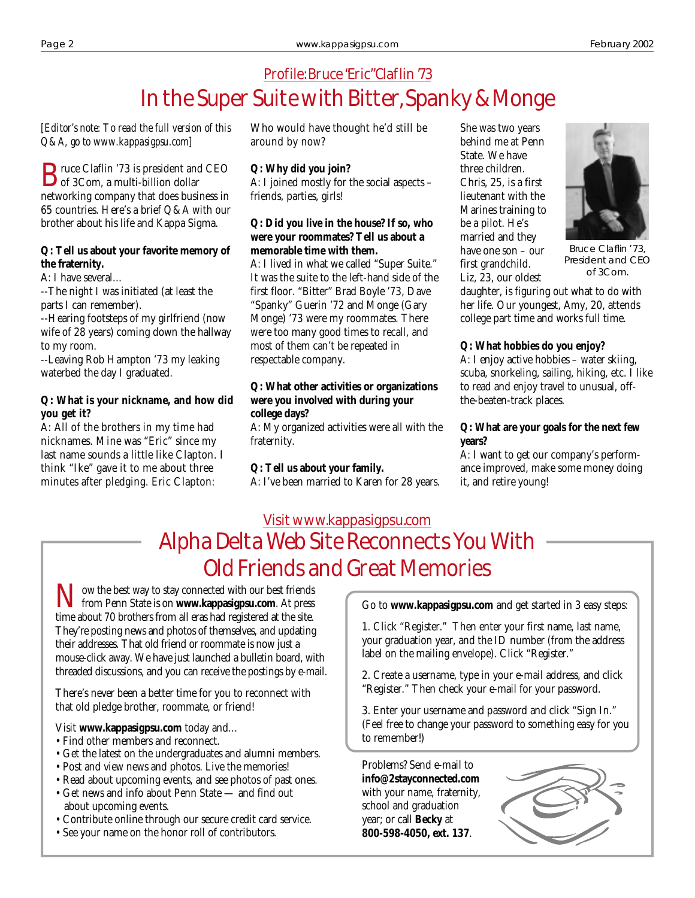# Profile: Bruce "Eric" Claflin '73 In the Super Suite with Bitter, Spanky & Monge

*[Editor's note: To read the full version of this Q&A, go to www.kappasigpsu.com]*

**B**ruce Claflin '73 is president and CEO<br>of 3Com, a multi-billion dollar<br>maturality a summan that does beginned in networking company that does business in 65 countries. Here's a brief Q&A with our brother about his life and Kappa Sigma.

#### **Q: Tell us about your favorite memory of the fraternity.**

A: I have several…

--The night I was initiated (at least the parts I can remember).

--Hearing footsteps of my girlfriend (now wife of 28 years) coming down the hallway to my room.

--Leaving Rob Hampton '73 my leaking waterbed the day I graduated.

#### **Q: What is your nickname, and how did you get it?**

A: All of the brothers in my time had nicknames. Mine was "Eric" since my last name sounds a little like Clapton. I think "Ike" gave it to me about three minutes after pledging. Eric Clapton:

Who would have thought he'd still be around by now?

#### **Q: Why did you join?**

A: I joined mostly for the social aspects – friends, parties, girls!

#### **Q: Did you live in the house? If so, who were your roommates? Tell us about a memorable time with them.**

A: I lived in what we called "Super Suite." It was the suite to the left-hand side of the first floor. "Bitter" Brad Boyle '73, Dave "Spanky" Guerin '72 and Monge (Gary Monge) '73 were my roommates. There were too many good times to recall, and most of them can't be repeated in respectable company.

#### **Q: What other activities or organizations were you involved with during your college days?**

A: My organized activities were all with the fraternity.

#### **Q: Tell us about your family.**

A: I've been married to Karen for 28 years.

She was two years behind me at Penn State. We have three children. Chris, 25, is a first lieutenant with the Marines training to be a pilot. He's married and they have one son – our first grandchild. Liz, 23, our oldest



Bruce Claflin '73, President and CEO of 3Com.

daughter, is figuring out what to do with her life. Our youngest, Amy, 20, attends college part time and works full time.

#### **Q: What hobbies do you enjoy?**

A: I enjoy active hobbies – water skiing, scuba, snorkeling, sailing, hiking, etc. I like to read and enjoy travel to unusual, offthe-beaten-track places.

#### **Q: What are your goals for the next few years?**

A: I want to get our company's performance improved, make some money doing it, and retire young!

# Visit www.kappasigpsu.com Alpha Delta Web Site Reconnects You With Old Friends and Great Memories

**Now the best way to stay connected with our best friends**<br>from Penn State is on **www.kappasigpsu.com**. At press time about 70 brothers from all eras had registered at the site. They're posting news and photos of themselves, and updating their addresses. That old friend or roommate is now just a mouse-click away. We have just launched a bulletin board, with threaded discussions, and you can receive the postings by e-mail.

There's never been a better time for you to reconnect with that old pledge brother, roommate, or friend!

Visit **www.kappasigpsu.com** today and…

- Find other members and reconnect.
- Get the latest on the undergraduates and alumni members.
- Post and view news and photos. Live the memories!
- Read about upcoming events, and see photos of past ones.
- Get news and info about Penn State and find out about upcoming events.
- Contribute online through our secure credit card service.
- See your name on the honor roll of contributors.

Go to **www.kappasigpsu.com** and get started in 3 easy steps:

1. Click "Register." Then enter your first name, last name, your graduation year, and the ID number (from the address label on the mailing envelope). Click "Register."

2. Create a username, type in your e-mail address, and click "Register." Then check your e-mail for your password.

3. Enter your username and password and click "Sign In." (Feel free to change your password to something easy for you to remember!)

Problems? Send e-mail to **info@2stayconnected.com** with your name, fraternity, school and graduation year; or call **Becky** at **800-598-4050, ext. 137**.

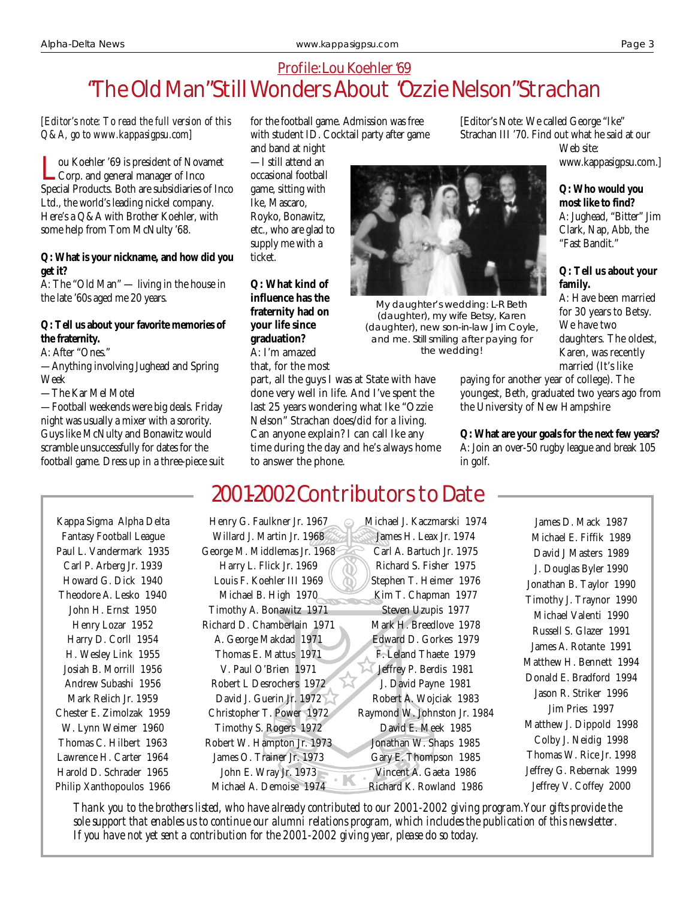## Profile: Lou Koehler'69 "The Old Man" Still Wonders About "Ozzie Nelson" Strachan

#### *[Editor's note: To read the full version of this Q&A, go to www.kappasigpsu.com]*

ou Koehler '69 is president of Novamet Corp. and general manager of Inco Special Products. Both are subsidiaries of Inco Ltd., the world's leading nickel company. Here's a Q&A with Brother Koehler, with some help from Tom McNulty '68.

#### **Q: What is your nickname, and how did you get it?**

A: The "Old Man" — living in the house in the late '60s aged me 20 years.

#### **Q: Tell us about your favorite memories of the fraternity.**

A: After "Ones."

—Anything involving Jughead and Spring Week

—The Kar Mel Motel

—Football weekends were big deals. Friday night was usually a mixer with a sorority. Guys like McNulty and Bonawitz would scramble unsuccessfully for dates for the football game. Dress up in a three-piece suit

Kappa Sigma Alpha Delta Fantasy Football League Paul L. Vandermark 1935 Carl P. Arberg Jr. 1939 Howard G. Dick 1940 Theodore A. Lesko 1940 John H. Ernst 1950 Henry Lozar 1952 Harry D. Corll 1954 H. Wesley Link 1955 Josiah B. Morrill 1956 Andrew Subashi 1956 Mark Relich Jr. 1959 Chester E. Zimolzak 1959 W. Lynn Weimer 1960 Thomas C. Hilbert 1963 Lawrence H. Carter 1964 Harold D. Schrader 1965 Philip Xanthopoulos 1966 for the football game. Admission was free with student ID. Cocktail party after game

and band at night —I still attend an occasional football game, sitting with Ike, Mascaro, Royko, Bonawitz, etc., who are glad to supply me with a ticket.

**Q: What kind of influence has the fraternity had on your life since graduation?** A: I'm amazed that, for the most

part, all the guys I was at State with have done very well in life. And I've spent the last 25 years wondering what Ike "Ozzie Nelson" Strachan does/did for a living. Can anyone explain? I can call Ike any time during the day and he's always home to answer the phone.

> Michael J. Kaczmarski 1974 James H. Leax Jr. 1974 Carl A. Bartuch Jr. 1975 Richard S. Fisher 1975 Stephen T. Heimer 1976 Kim T. Chapman 1977 Steven Uzupis 1977 Mark H. Breedlove 1978 Edward D. Gorkes 1979 F. Leland Thaete 1979 Jeffrey P. Berdis 1981 J. David Payne 1981 Robert A. Wojciak 1983 Raymond W. Johnston Jr. 1984 David E. Meek 1985 Jonathan W. Shaps 1985 Gary E. Thompson 1985 Vincent A. Gaeta 1986 Richard K. Rowland 1986

[Editor's Note: We called George "Ike" Strachan III '70. Find out what he said at our Web site:

www.kappasigpsu.com.]

**Q: Who would you most like to find?** A: Jughead, "Bitter" Jim Clark, Nap, Abb, the "Fast Bandit."

#### **Q: Tell us about your family.**

A: Have been married for 30 years to Betsy. We have two daughters. The oldest, Karen, was recently married (It's like

paying for another year of college). The youngest, Beth, graduated two years ago from the University of New Hampshire

**Q: What are your goals for the next few years?** A: Join an over-50 rugby league and break 105 in golf.

> James D. Mack 1987 Michael E. Fiffik 1989 David J Masters 1989 J. Douglas Byler 1990 Jonathan B. Taylor 1990 Timothy J. Traynor 1990 Michael Valenti 1990 Russell S. Glazer 1991 James A. Rotante 1991 Matthew H. Bennett 1994 Donald E. Bradford 1994 Jason R. Striker 1996 Jim Pries 1997 Matthew J. Dippold 1998 Colby J. Neidig 1998 Thomas W. Rice Jr. 1998 Jeffrey G. Rebernak 1999 Jeffrey V. Coffey 2000

*Thank you to the brothers listed, who have already contributed to our 2001-2002 giving program.Your gifts provide the sole support that enables us to continue our alumni relations program, which includes the publication of this newsletter. If you have not yet sent a contribution for the 2001-2002 giving year, please do so today.*

# 2001-2002 Contributors to Date

Henry G. Faulkner Jr. 1967 Willard J. Martin Jr. 1968 George M. Middlemas Jr. 1968 Harry L. Flick Jr. 1969 Louis F. Koehler III 1969 Michael B. High 1970 Timothy A. Bonawitz 1971 Richard D. Chamberlain 1971 A. George Makdad 1971 Thomas E. Mattus 1971 V. Paul O'Brien 1971 Robert L Desrochers 1972 David J. Guerin Jr. 1972 Christopher T. Power 1972 Timothy S. Rogers 1972 Robert W. Hampton Jr. 1973 James O. Trainer Jr. 1973 John E. Wray Jr. 1973 Michael A. Demoise 1974



My daughter's wedding: L-R Beth (daughter), my wife Betsy, Karen (daughter), new son-in-law Jim Coyle, and me. Still smiling after paying for the wedding!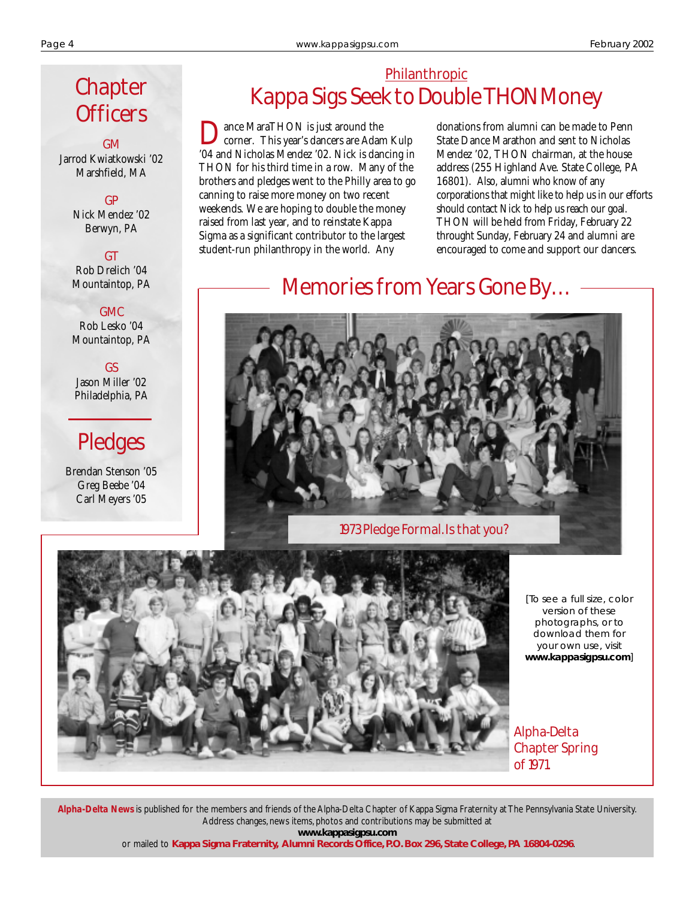# **Chapter Officers**

GM Jarrod Kwiatkowski '02 Marshfield, MA

> GP Nick Mendez '02 Berwyn, PA

**GT** Rob Drelich '04 Mountaintop, PA

GMC Rob Lesko '04

Mountaintop, PA

GS Jason Miller '02 Philadelphia, PA

# Pledges

Brendan Stenson '05 Greg Beebe '04 Carl Meyers '05

## Philanthropic Kappa Sigs Seek to Double THON Money

ance MaraTHON is just around the corner. This year's dancers are Adam Kulp '04 and Nicholas Mendez '02. Nick is dancing in THON for his third time in a row. Many of the brothers and pledges went to the Philly area to go canning to raise more money on two recent weekends. We are hoping to double the money raised from last year, and to reinstate Kappa Sigma as a significant contributor to the largest student-run philanthropy in the world. Any

donations from alumni can be made to Penn State Dance Marathon and sent to Nicholas Mendez '02, THON chairman, at the house address (255 Highland Ave. State College, PA 16801). Also, alumni who know of any corporations that might like to help us in our efforts should contact Nick to help us reach our goal. THON will be held from Friday, February 22 throught Sunday, February 24 and alumni are encouraged to come and support our dancers.

# Memories from Years Gone By…



1973 Pledge Formal. Is that you?



[To see a full size, color version of these photographs, or to download them for your own use, visit **www.kappasigpsu.com**]

Alpha-Delta Chapter Spring of 1971.

*Alpha-Delta News* is published for the members and friends of the Alpha-Delta Chapter of Kappa Sigma Fraternity at The Pennsylvania State University. Address changes, news items, photos and contributions may be submitted at **www.kappasigpsu.com**

or mailed to **Kappa Sigma Fraternity, Alumni Records Office, P.O. Box 296, State College, PA 16804-0296**.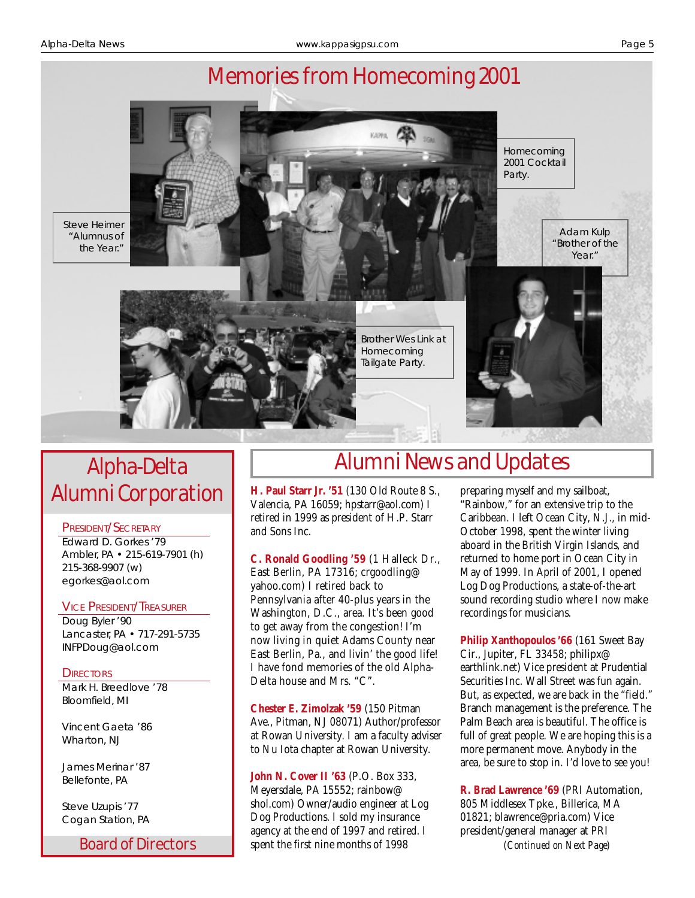

# Alpha-Delta Alumni Corporation

#### PRESIDENT/SECRETARY

Edward D. Gorkes '79 Ambler, PA • 215-619-7901 (h) 215-368-9907 (w) egorkes@aol.com

#### VICE PRESIDENT/TREASURER

Doug Byler '90 Lancaster, PA • 717-291-5735 INFPDoug@aol.com

**DIRECTORS** 

Mark H. Breedlove '78 Bloomfield, MI

Vincent Gaeta '86 Wharton, NJ

James Merinar '87 Bellefonte, PA

Steve Uzupis '77 Cogan Station, PA

# Alumni News and Updates

**H. Paul Starr Jr. '51** (130 Old Route 8 S., Valencia, PA 16059; hpstarr@aol.com) I retired in 1999 as president of H.P. Starr and Sons Inc.

**C. Ronald Goodling '59** (1 Halleck Dr., East Berlin, PA 17316; crgoodling@ yahoo.com) I retired back to Pennsylvania after 40-plus years in the Washington, D.C., area. It's been good to get away from the congestion! I'm now living in quiet Adams County near East Berlin, Pa., and livin' the good life! I have fond memories of the old Alpha-Delta house and Mrs. "C".

**Chester E. Zimolzak '59** (150 Pitman Ave., Pitman, NJ 08071) Author/professor at Rowan University. I am a faculty adviser to Nu Iota chapter at Rowan University.

**John N. Cover II '63** (P.O. Box 333, Meyersdale, PA 15552; rainbow@ shol.com) Owner/audio engineer at Log Dog Productions. I sold my insurance agency at the end of 1997 and retired. I

preparing myself and my sailboat, "Rainbow," for an extensive trip to the Caribbean. I left Ocean City, N.J., in mid-October 1998, spent the winter living aboard in the British Virgin Islands, and returned to home port in Ocean City in May of 1999. In April of 2001, I opened Log Dog Productions, a state-of-the-art sound recording studio where I now make recordings for musicians.

**Philip Xanthopoulos '66** (161 Sweet Bay Cir., Jupiter, FL 33458; philipx@ earthlink.net) Vice president at Prudential Securities Inc. Wall Street was fun again. But, as expected, we are back in the "field." Branch management is the preference. The Palm Beach area is beautiful. The office is full of great people. We are hoping this is a more permanent move. Anybody in the area, be sure to stop in. I'd love to see you!

**Board of Directors** spent the first nine months of 1998 *(Continued on Next Page)* **R. Brad Lawrence '69** (PRI Automation, 805 Middlesex Tpke., Billerica, MA 01821; blawrence@pria.com) Vice president/general manager at PRI